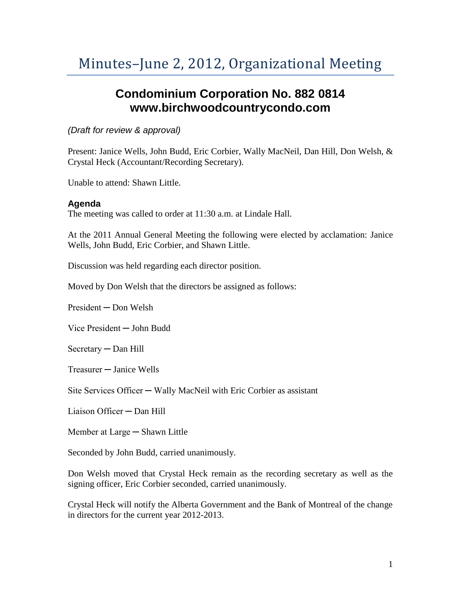## Minutes–June 2, 2012, Organizational Meeting

## **Condominium Corporation No. 882 0814 www.birchwoodcountrycondo.com**

## *(Draft for review & approval)*

Present: Janice Wells, John Budd, Eric Corbier, Wally MacNeil, Dan Hill, Don Welsh, & Crystal Heck (Accountant/Recording Secretary).

Unable to attend: Shawn Little.

## **Agenda**

The meeting was called to order at 11:30 a.m. at Lindale Hall.

At the 2011 Annual General Meeting the following were elected by acclamation: Janice Wells, John Budd, Eric Corbier, and Shawn Little.

Discussion was held regarding each director position.

Moved by Don Welsh that the directors be assigned as follows:

President ─ Don Welsh

Vice President ─ John Budd

Secretary ─ Dan Hill

Treasurer ─ Janice Wells

Site Services Officer — Wally MacNeil with Eric Corbier as assistant

Liaison Officer ─ Dan Hill

Member at Large — Shawn Little

Seconded by John Budd, carried unanimously.

Don Welsh moved that Crystal Heck remain as the recording secretary as well as the signing officer, Eric Corbier seconded, carried unanimously.

Crystal Heck will notify the Alberta Government and the Bank of Montreal of the change in directors for the current year 2012-2013.